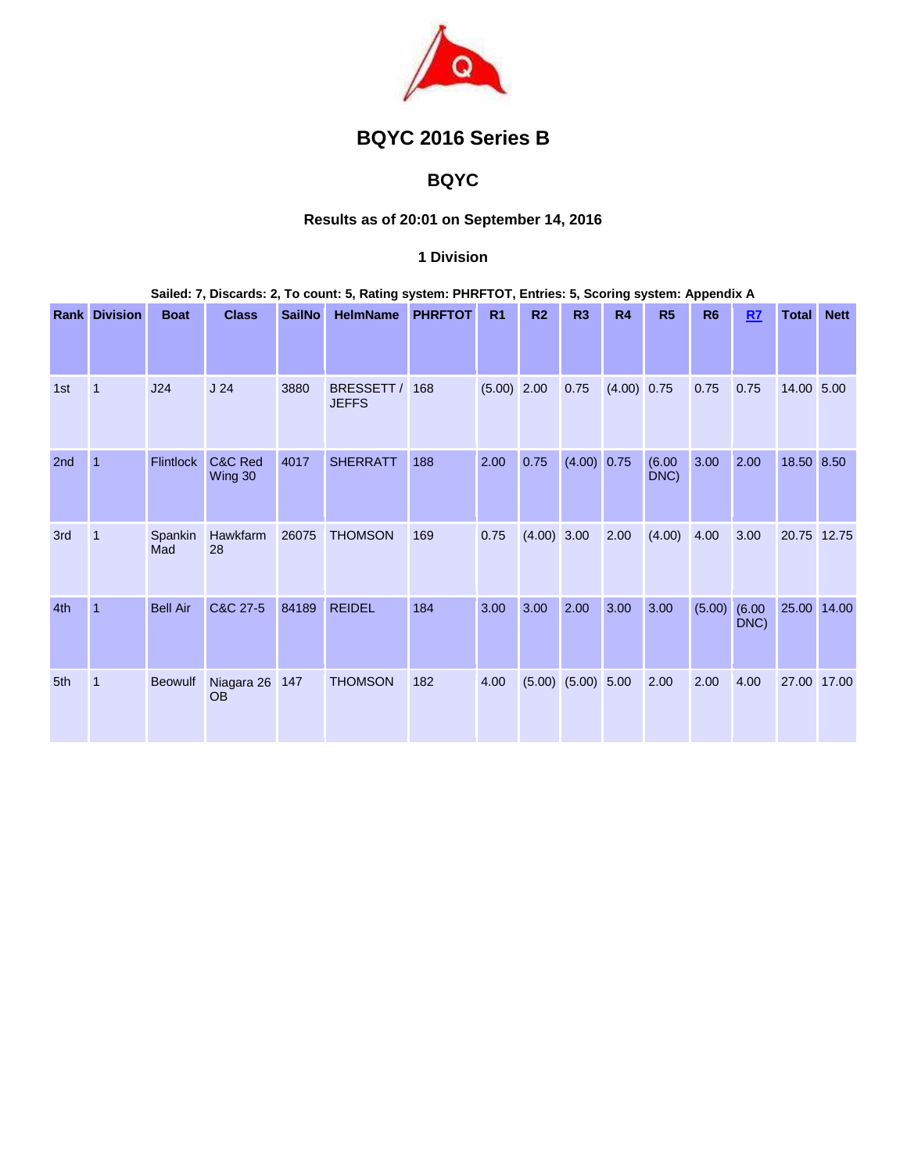

# **BQYC 2016 Series B**

## **BQYC**

### **Results as of 20:01 on September 14, 2016**

#### **1 Division**

#### **Sailed: 7, Discards: 2, To count: 5, Rating system: PHRFTOT, Entries: 5, Scoring system: Appendix A**

|     | <b>Rank Division</b> | <b>Boat</b>      | <b>Class</b>            | <b>SailNo</b> | <b>HelmName</b>            | <b>PHRFTOT</b> | R <sub>1</sub> | R <sub>2</sub> | R3          | R <sub>4</sub> | R5             | R <sub>6</sub> | RZ             | <b>Total</b> | <b>Nett</b> |
|-----|----------------------|------------------|-------------------------|---------------|----------------------------|----------------|----------------|----------------|-------------|----------------|----------------|----------------|----------------|--------------|-------------|
|     |                      |                  |                         |               |                            |                |                |                |             |                |                |                |                |              |             |
| 1st | $\mathbf{1}$         | J24              | J <sub>24</sub>         | 3880          | BRESSETT /<br><b>JEFFS</b> | 168            | $(5.00)$ 2.00  |                | 0.75        | $(4.00)$ 0.75  |                | 0.75           | 0.75           | 14.00 5.00   |             |
| 2nd | $\overline{1}$       | <b>Flintlock</b> | C&C Red<br>Wing 30      | 4017          | <b>SHERRATT</b>            | 188            | 2.00           | 0.75           | (4.00) 0.75 |                | (6.00)<br>DNC) | 3.00           | 2.00           | 18.50 8.50   |             |
| 3rd | $\mathbf{1}$         | Spankin<br>Mad   | Hawkfarm<br>28          | 26075         | <b>THOMSON</b>             | 169            | 0.75           | $(4.00)$ 3.00  |             | 2.00           | (4.00)         | 4.00           | 3.00           | 20.75 12.75  |             |
| 4th | $\overline{1}$       | <b>Bell Air</b>  | C&C 27-5                | 84189         | <b>REIDEL</b>              | 184            | 3.00           | 3.00           | 2.00        | 3.00           | 3.00           | (5.00)         | (6.00)<br>DNC) | 25.00 14.00  |             |
| 5th | $\mathbf{1}$         | <b>Beowulf</b>   | Niagara 26<br><b>OB</b> | 147           | <b>THOMSON</b>             | 182            | 4.00           | (5.00)         | (5.00)      | 5.00           | 2.00           | 2.00           | 4.00           | 27.00        | 17.00       |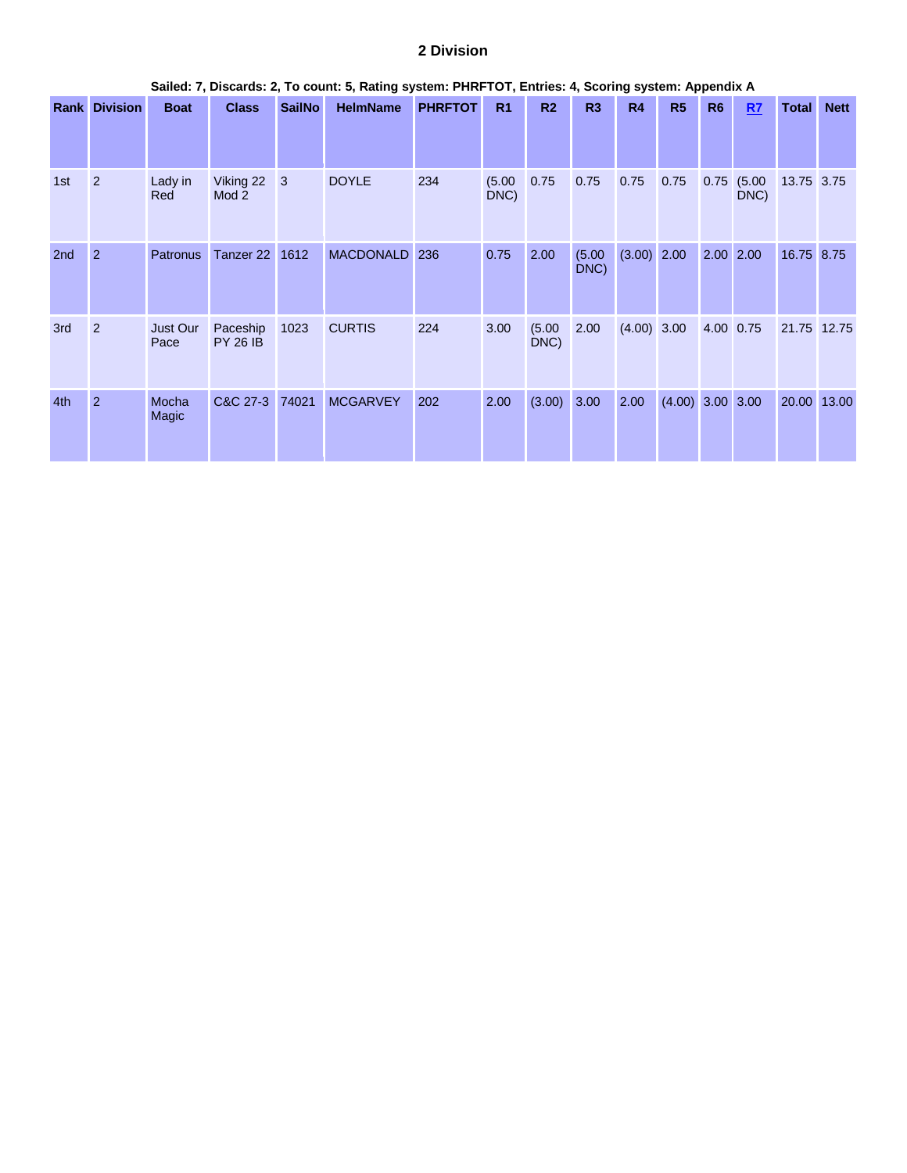#### **2 Division**

|                 | Sailed: 7, Discards: 2, To count: 5, Rating system: PHRFTOT, Entries: 4, Scoring system: Appendix A |                       |                               |               |                  |                |                |                |                |               |        |                |                |              |             |
|-----------------|-----------------------------------------------------------------------------------------------------|-----------------------|-------------------------------|---------------|------------------|----------------|----------------|----------------|----------------|---------------|--------|----------------|----------------|--------------|-------------|
|                 | <b>Rank Division</b>                                                                                | <b>Boat</b>           | <b>Class</b>                  | <b>SailNo</b> | <b>HelmName</b>  | <b>PHRFTOT</b> | R <sub>1</sub> | R <sub>2</sub> | R3             | R4            | R5     | R <sub>6</sub> | R7             | <b>Total</b> | <b>Nett</b> |
| 1st             | $\overline{2}$                                                                                      | Lady in<br>Red        | Viking 22<br>Mod <sub>2</sub> | 3             | <b>DOYLE</b>     | 234            | (5.00)<br>DNC) | 0.75           | 0.75           | 0.75          | 0.75   | 0.75           | (5.00)<br>DNC) | 13.75 3.75   |             |
| 2 <sub>nd</sub> | $\overline{2}$                                                                                      | <b>Patronus</b>       | Tanzer 22                     | 1612          | <b>MACDONALD</b> | 236            | 0.75           | 2.00           | (5.00)<br>DNC) | (3.00)        | 2.00   |                | 2.00 2.00      | 16.75 8.75   |             |
| 3rd             | $\overline{2}$                                                                                      | Just Our<br>Pace      | Paceship<br><b>PY 26 IB</b>   | 1023          | <b>CURTIS</b>    | 224            | 3.00           | (5.00)<br>DNC) | 2.00           | $(4.00)$ 3.00 |        | 4.00 0.75      |                | 21.75 12.75  |             |
| 4th             | $\overline{2}$                                                                                      | Mocha<br><b>Magic</b> | C&C 27-3                      | 74021         | <b>MCGARVEY</b>  | 202            | 2.00           | (3.00)         | 3.00           | 2.00          | (4.00) | $3.00 \, 3.00$ |                | 20.00 13.00  |             |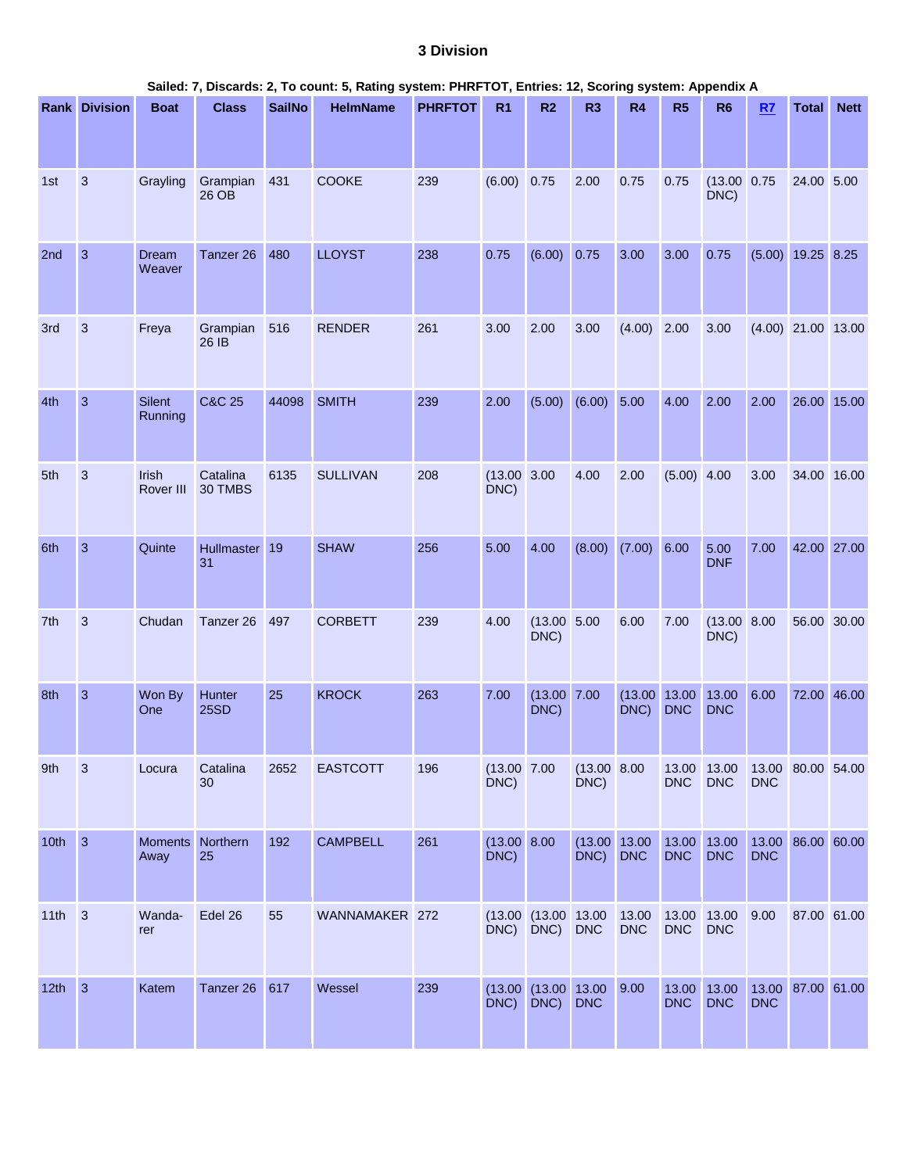#### **3 Division**

|      | Sailed: 7, Discards: 2, To count: 5, Rating system: PHRFTOT, Entries: 12, Scoring system: Appendix A |                        |                       |               |                 |                |                         |                                |                                           |                     |                     |                           |                                 |                      |             |
|------|------------------------------------------------------------------------------------------------------|------------------------|-----------------------|---------------|-----------------|----------------|-------------------------|--------------------------------|-------------------------------------------|---------------------|---------------------|---------------------------|---------------------------------|----------------------|-------------|
|      | <b>Rank Division</b>                                                                                 | <b>Boat</b>            | <b>Class</b>          | <b>SailNo</b> | <b>HelmName</b> | <b>PHRFTOT</b> | R <sub>1</sub>          | R <sub>2</sub>                 | R <sub>3</sub>                            | R4                  | R5                  | R <sub>6</sub>            | RZ                              | <b>Total</b>         | <b>Nett</b> |
| 1st  | $\sqrt{3}$                                                                                           | Grayling               | Grampian<br>26 OB     | 431           | <b>COOKE</b>    | 239            | (6.00)                  | 0.75                           | 2.00                                      | 0.75                | 0.75                | $(13.00)$ 0.75<br>DNC)    |                                 | 24.00 5.00           |             |
| 2nd  | $\mathbf{3}$                                                                                         | <b>Dream</b><br>Weaver | Tanzer 26             | 480           | <b>LLOYST</b>   | 238            | 0.75                    | (6.00)                         | 0.75                                      | 3.00                | 3.00                | 0.75                      |                                 | $(5.00)$ 19.25 8.25  |             |
| 3rd  | 3                                                                                                    | Freya                  | Grampian<br>26 IB     | 516           | <b>RENDER</b>   | 261            | 3.00                    | 2.00                           | 3.00                                      | (4.00)              | 2.00                | 3.00                      |                                 | $(4.00)$ 21.00 13.00 |             |
| 4th  | $\mathbf{3}$                                                                                         | Silent<br>Running      | <b>C&amp;C 25</b>     | 44098         | <b>SMITH</b>    | 239            | 2.00                    | (5.00)                         | (6.00)                                    | 5.00                | 4.00                | 2.00                      | 2.00                            | 26.00 15.00          |             |
| 5th  | $\mathbf{3}$                                                                                         | Irish<br>Rover III     | Catalina<br>30 TMBS   | 6135          | <b>SULLIVAN</b> | 208            | $(13.00 \ 3.00$<br>DNC) |                                | 4.00                                      | 2.00                | $(5.00)$ 4.00       |                           | 3.00                            |                      | 34.00 16.00 |
| 6th  | $\mathbf{3}$                                                                                         | Quinte                 | Hullmaster 19<br>31   |               | <b>SHAW</b>     | 256            | 5.00                    | 4.00                           | (8.00)                                    | (7.00)              | 6.00                | 5.00<br><b>DNF</b>        | 7.00                            | 42.00 27.00          |             |
| 7th  | $\mathbf{3}$                                                                                         | Chudan                 | Tanzer 26             | 497           | <b>CORBETT</b>  | 239            | 4.00                    | (13.00 5.00)<br>DNC)           |                                           | 6.00                | 7.00                | (13.00 8.00)<br>DNC)      |                                 | 56.00 30.00          |             |
| 8th  | $\mathbf{3}$                                                                                         | Won By<br>One          | Hunter<br><b>25SD</b> | 25            | <b>KROCK</b>    | 263            | 7.00                    | $(13.00 \ 7.00$<br>DNC)        |                                           | (13.00)<br>DNC)     | 13.00<br><b>DNC</b> | 13.00<br><b>DNC</b>       | 6.00                            | 72.00 46.00          |             |
| 9th  | $\mathbf{3}$                                                                                         | Locura                 | Catalina<br>30        | 2652          | <b>EASTCOTT</b> | 196            | (13.00 7.00<br>DNC)     |                                | (13.00 8.00)<br>DNC)                      |                     | <b>DNC</b>          | 13.00 13.00<br><b>DNC</b> | <b>DNC</b>                      | 13.00 80.00 54.00    |             |
| 10th | $\mathbf{3}$                                                                                         | <b>Moments</b><br>Away | Northern<br>25        | 192           | <b>CAMPBELL</b> | 261            | $(13.00 \ 8.00$<br>DNC) |                                | (13.00)<br>DNC)                           | 13.00<br><b>DNC</b> | <b>DNC</b>          | 13.00 13.00<br><b>DNC</b> | 13.00<br><b>DNC</b>             | 86.00 60.00          |             |
| 11th | $\mathbf{3}$                                                                                         | Wanda-<br>rer          | Edel 26               | 55            | WANNAMAKER 272  |                | DNC)                    | (13.00)(13.00)13.00<br>$DNC$ ) | <b>DNC</b>                                | 13.00<br><b>DNC</b> | <b>DNC</b>          | 13.00 13.00<br><b>DNC</b> | 9.00                            | 87.00 61.00          |             |
| 12th | $\mathbf{3}$                                                                                         | Katem                  | Tanzer 26 617         |               | Wessel          | 239            | DNC)                    | DNC)                           | $(13.00 \t (13.00 \t 13.00$<br><b>DNC</b> | 9.00                | <b>DNC</b>          | 13.00 13.00<br><b>DNC</b> | 13.00 87.00 61.00<br><b>DNC</b> |                      |             |